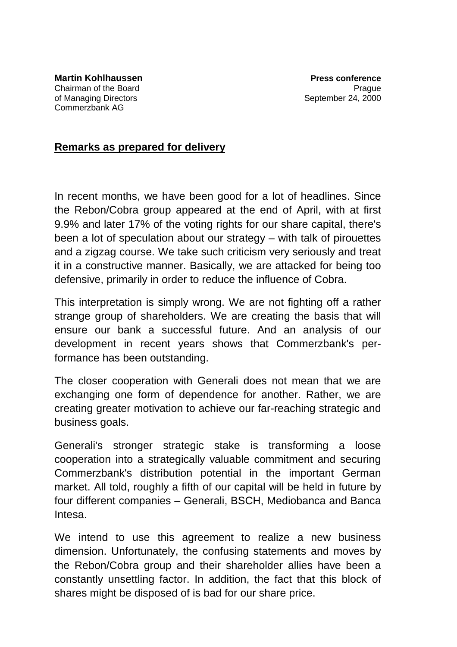## **Remarks as prepared for delivery**

In recent months, we have been good for a lot of headlines. Since the Rebon/Cobra group appeared at the end of April, with at first 9.9% and later 17% of the voting rights for our share capital, there's been a lot of speculation about our strategy – with talk of pirouettes and a zigzag course. We take such criticism very seriously and treat it in a constructive manner. Basically, we are attacked for being too defensive, primarily in order to reduce the influence of Cobra.

This interpretation is simply wrong. We are not fighting off a rather strange group of shareholders. We are creating the basis that will ensure our bank a successful future. And an analysis of our development in recent years shows that Commerzbank's performance has been outstanding.

The closer cooperation with Generali does not mean that we are exchanging one form of dependence for another. Rather, we are creating greater motivation to achieve our far-reaching strategic and business goals.

Generali's stronger strategic stake is transforming a loose cooperation into a strategically valuable commitment and securing Commerzbank's distribution potential in the important German market. All told, roughly a fifth of our capital will be held in future by four different companies – Generali, BSCH, Mediobanca and Banca Intesa.

We intend to use this agreement to realize a new business dimension. Unfortunately, the confusing statements and moves by the Rebon/Cobra group and their shareholder allies have been a constantly unsettling factor. In addition, the fact that this block of shares might be disposed of is bad for our share price.